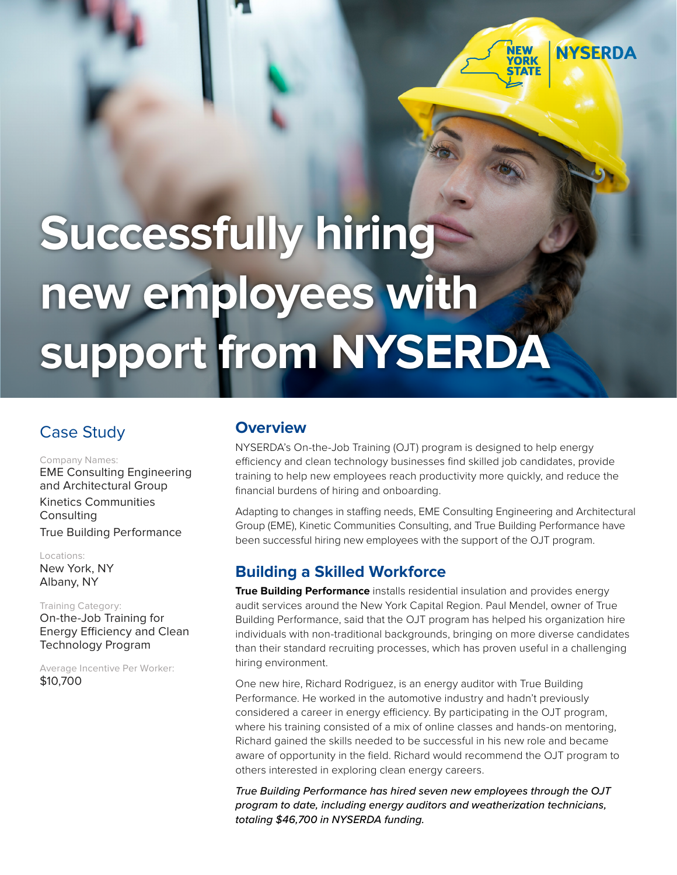# **Successfully hiring new employees with support from NYSERDA**

# Case Study

#### Company Names:

EME Consulting Engineering and Architectural Group Kinetics Communities **Consulting** True Building Performance

#### Locations:

New York, NY Albany, NY

Training Category: On-the-Job Training for Energy Efficiency and Clean Technology Program

Average Incentive Per Worker: \$10,700

## **Overview**

NYSERDA's On-the-Job Training (OJT) program is designed to help energy efficiency and clean technology businesses find skilled job candidates, provide training to help new employees reach productivity more quickly, and reduce the financial burdens of hiring and onboarding.

**NYSERDA** 

**ORK** 

Adapting to changes in staffing needs, EME Consulting Engineering and Architectural Group (EME), Kinetic Communities Consulting, and True Building Performance have been successful hiring new employees with the support of the OJT program.

## **Building a Skilled Workforce**

**True Building Performance** installs residential insulation and provides energy audit services around the New York Capital Region. Paul Mendel, owner of True Building Performance, said that the OJT program has helped his organization hire individuals with non-traditional backgrounds, bringing on more diverse candidates than their standard recruiting processes, which has proven useful in a challenging hiring environment.

One new hire, Richard Rodriguez, is an energy auditor with True Building Performance. He worked in the automotive industry and hadn't previously considered a career in energy efficiency. By participating in the OJT program, where his training consisted of a mix of online classes and hands-on mentoring, Richard gained the skills needed to be successful in his new role and became aware of opportunity in the field. Richard would recommend the OJT program to others interested in exploring clean energy careers.

*True Building Performance has hired seven new employees through the OJT program to date, including energy auditors and weatherization technicians, totaling \$46,700 in NYSERDA funding.*